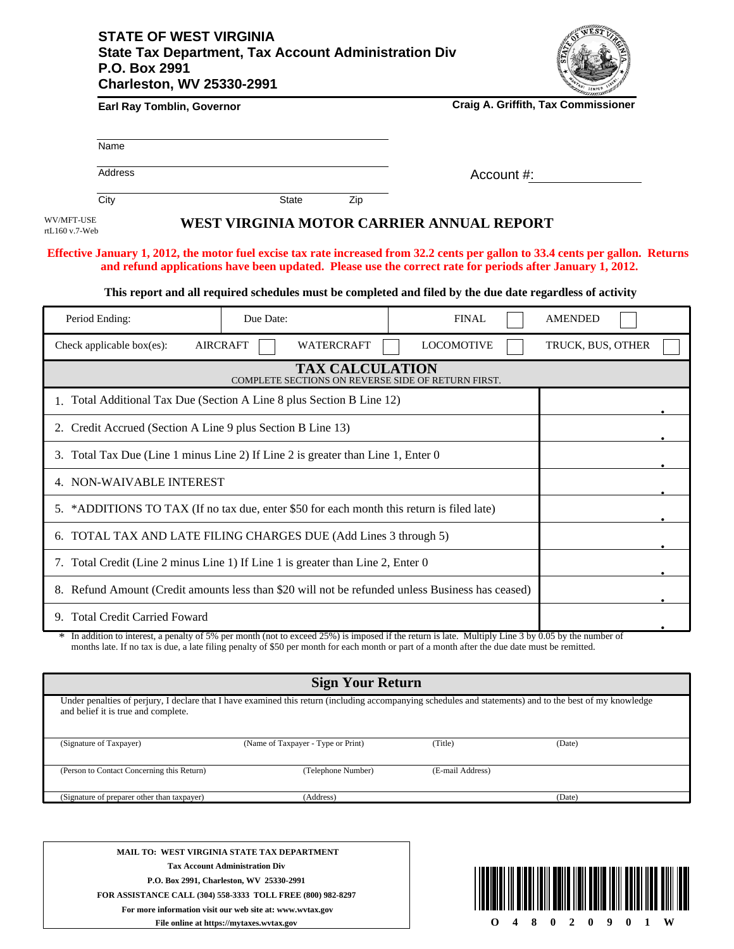## **STATE OF WEST VIRGINIA State Tax Department, Tax Account Administration Div P.O. Box 2991 Charleston, WV 25330-2991**



|                              |                                                                                                  |                 |                        |                                                                                                                                                                                                                                                                                                      | <b><i>Communition</i></b> |  |
|------------------------------|--------------------------------------------------------------------------------------------------|-----------------|------------------------|------------------------------------------------------------------------------------------------------------------------------------------------------------------------------------------------------------------------------------------------------------------------------------------------------|---------------------------|--|
|                              | Earl Ray Tomblin, Governor                                                                       |                 |                        | Craig A. Griffith, Tax Commissioner                                                                                                                                                                                                                                                                  |                           |  |
|                              | Name                                                                                             |                 |                        |                                                                                                                                                                                                                                                                                                      |                           |  |
|                              | <b>Address</b>                                                                                   |                 |                        | Account #:                                                                                                                                                                                                                                                                                           |                           |  |
|                              | City                                                                                             | <b>State</b>    | Zip                    |                                                                                                                                                                                                                                                                                                      |                           |  |
| WV/MFT-USE<br>rtL160 v.7-Web |                                                                                                  |                 |                        | WEST VIRGINIA MOTOR CARRIER ANNUAL REPORT                                                                                                                                                                                                                                                            |                           |  |
|                              |                                                                                                  |                 |                        | Effective January 1, 2012, the motor fuel excise tax rate increased from 32.2 cents per gallon to 33.4 cents per gallon. Returns<br>and refund applications have been updated. Please use the correct rate for periods after January 1, 2012.                                                        |                           |  |
|                              |                                                                                                  |                 |                        | This report and all required schedules must be completed and filed by the due date regardless of activity                                                                                                                                                                                            |                           |  |
|                              | Period Ending:                                                                                   | Due Date:       |                        | <b>FINAL</b>                                                                                                                                                                                                                                                                                         | <b>AMENDED</b>            |  |
|                              | Check applicable box(es):                                                                        | <b>AIRCRAFT</b> | WATERCRAFT             | <b>LOCOMOTIVE</b>                                                                                                                                                                                                                                                                                    | TRUCK, BUS, OTHER         |  |
|                              |                                                                                                  |                 | <b>TAX CALCULATION</b> | COMPLETE SECTIONS ON REVERSE SIDE OF RETURN FIRST.                                                                                                                                                                                                                                                   |                           |  |
|                              | 1. Total Additional Tax Due (Section A Line 8 plus Section B Line 12)                            |                 |                        |                                                                                                                                                                                                                                                                                                      |                           |  |
|                              | 2. Credit Accrued (Section A Line 9 plus Section B Line 13)                                      |                 |                        |                                                                                                                                                                                                                                                                                                      |                           |  |
|                              | 3. Total Tax Due (Line 1 minus Line 2) If Line 2 is greater than Line 1, Enter 0                 |                 |                        |                                                                                                                                                                                                                                                                                                      |                           |  |
|                              | 4. NON-WAIVABLE INTEREST                                                                         |                 |                        |                                                                                                                                                                                                                                                                                                      |                           |  |
|                              | 5. *ADDITIONS TO TAX (If no tax due, enter \$50 for each month this return is filed late)        |                 |                        |                                                                                                                                                                                                                                                                                                      |                           |  |
|                              | 6. TOTAL TAX AND LATE FILING CHARGES DUE (Add Lines 3 through 5)                                 |                 |                        |                                                                                                                                                                                                                                                                                                      |                           |  |
|                              | 7. Total Credit (Line 2 minus Line 1) If Line 1 is greater than Line 2, Enter 0                  |                 |                        |                                                                                                                                                                                                                                                                                                      |                           |  |
|                              | 8. Refund Amount (Credit amounts less than \$20 will not be refunded unless Business has ceased) |                 |                        |                                                                                                                                                                                                                                                                                                      |                           |  |
|                              | 9. Total Credit Carried Foward                                                                   |                 |                        |                                                                                                                                                                                                                                                                                                      |                           |  |
|                              |                                                                                                  |                 |                        | * In addition to interest, a penalty of 5% per month (not to exceed 25%) is imposed if the return is late. Multiply Line 3 by 0.05 by the number of<br>months late. If no tax is due, a late filing penalty of \$50 per month for each month or part of a month after the due date must be remitted. |                           |  |

| <b>Sign Your Return</b>                                                                                                                                                                         |                                    |                  |        |  |  |  |  |
|-------------------------------------------------------------------------------------------------------------------------------------------------------------------------------------------------|------------------------------------|------------------|--------|--|--|--|--|
| Under penalties of perjury, I declare that I have examined this return (including accompanying schedules and statements) and to the best of my knowledge<br>and belief it is true and complete. |                                    |                  |        |  |  |  |  |
| (Signature of Taxpayer)                                                                                                                                                                         | (Name of Taxpayer - Type or Print) | (Title)          | (Date) |  |  |  |  |
| (Person to Contact Concerning this Return)                                                                                                                                                      | (Telephone Number)                 | (E-mail Address) |        |  |  |  |  |
| (Signature of preparer other than taxpayer)                                                                                                                                                     | (Address)                          |                  | (Date) |  |  |  |  |
|                                                                                                                                                                                                 |                                    |                  |        |  |  |  |  |

**MAIL TO: WEST VIRGINIA STATE TAX DEPARTMENT Tax Account Administration Div P.O. Box 2991, Charleston, WV 25330-2991 FOR ASSISTANCE CALL (304) 558-3333 TOLL FREE (800) 982-8297 For more information visit our web site at: www.wvtax.gov File online at https://mytaxes.wvtax.gov**